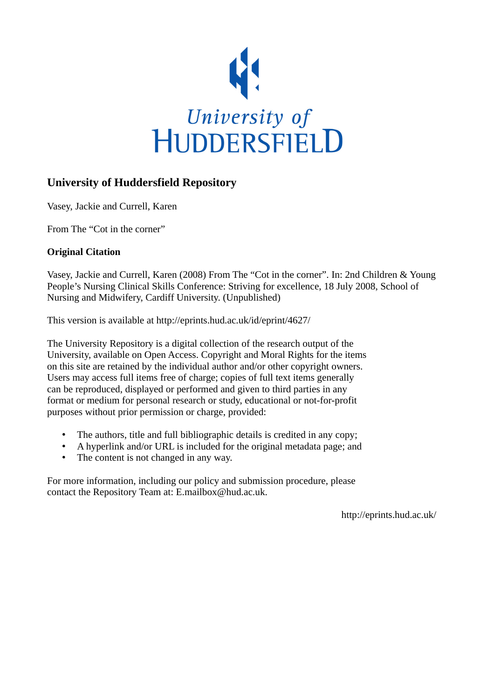

# **University of Huddersfield Repository**

Vasey, Jackie and Currell, Karen

From The "Cot in the corner"

#### **Original Citation**

Vasey, Jackie and Currell, Karen (2008) From The "Cot in the corner". In: 2nd Children & Young People's Nursing Clinical Skills Conference: Striving for excellence, 18 July 2008, School of Nursing and Midwifery, Cardiff University. (Unpublished)

This version is available at http://eprints.hud.ac.uk/id/eprint/4627/

The University Repository is a digital collection of the research output of the University, available on Open Access. Copyright and Moral Rights for the items on this site are retained by the individual author and/or other copyright owners. Users may access full items free of charge; copies of full text items generally can be reproduced, displayed or performed and given to third parties in any format or medium for personal research or study, educational or not-for-profit purposes without prior permission or charge, provided:

- The authors, title and full bibliographic details is credited in any copy;
- A hyperlink and/or URL is included for the original metadata page; and
- The content is not changed in any way.

For more information, including our policy and submission procedure, please contact the Repository Team at: E.mailbox@hud.ac.uk.

http://eprints.hud.ac.uk/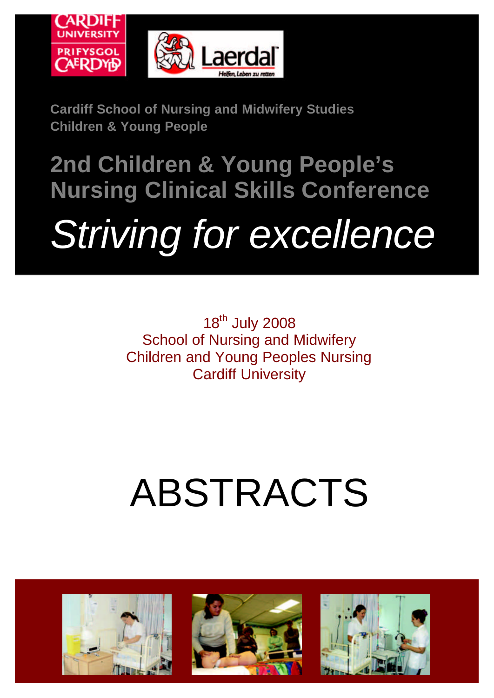

**Cardiff School of Nursing and Midwifery Studies Children & Young People**

# **2nd Children & Young People's Nursing Clinical Skills Conference**  *Striving for excellence*

18<sup>th</sup> July 2008 School of Nursing and Midwifery Children and Young Peoples Nursing Cardiff University

# ABSTRACTS

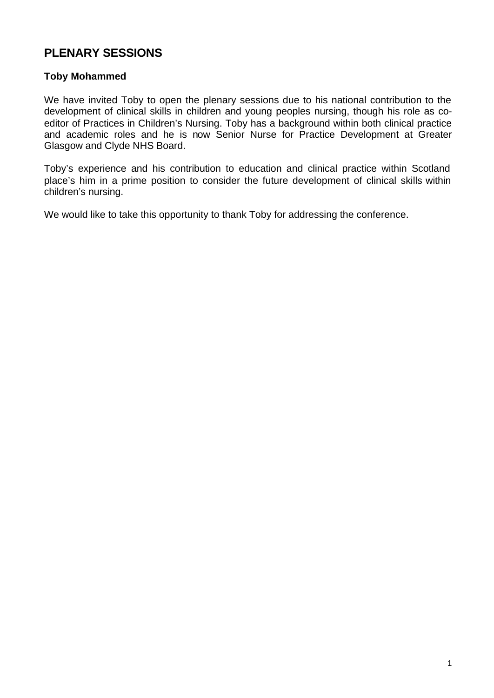# **PLENARY SESSIONS**

#### **Toby Mohammed**

We have invited Toby to open the plenary sessions due to his national contribution to the development of clinical skills in children and young peoples nursing, though his role as coeditor of Practices in Children's Nursing. Toby has a background within both clinical practice and academic roles and he is now Senior Nurse for Practice Development at Greater Glasgow and Clyde NHS Board.

Toby's experience and his contribution to education and clinical practice within Scotland place's him in a prime position to consider the future development of clinical skills within children's nursing.

We would like to take this opportunity to thank Toby for addressing the conference.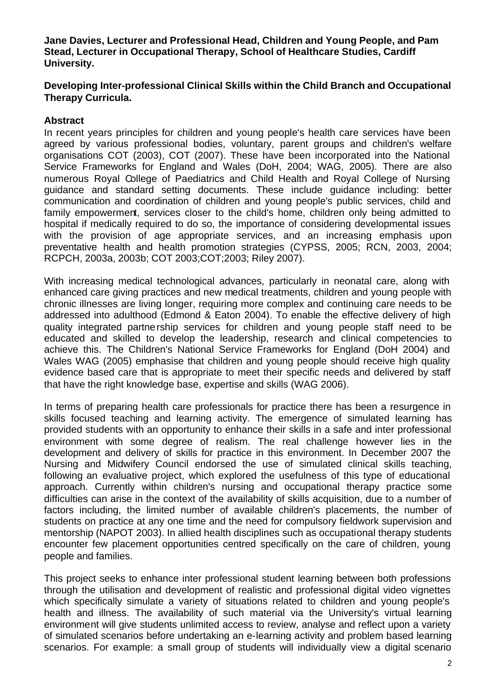**Jane Davies, Lecturer and Professional Head, Children and Young People, and Pam Stead, Lecturer in Occupational Therapy, School of Healthcare Studies, Cardiff University.** 

#### **Developing Inter-professional Clinical Skills within the Child Branch and Occupational Therapy Curricula.**

#### **Abstract**

In recent years principles for children and young people's health care services have been agreed by various professional bodies, voluntary, parent groups and children's welfare organisations COT (2003), COT (2007). These have been incorporated into the National Service Frameworks for England and Wales (DoH, 2004; WAG, 2005). There are also numerous Royal College of Paediatrics and Child Health and Royal College of Nursing guidance and standard setting documents. These include guidance including: better communication and coordination of children and young people's public services, child and family empowerment, services closer to the child's home, children only being admitted to hospital if medically required to do so, the importance of considering developmental issues with the provision of age appropriate services, and an increasing emphasis upon preventative health and health promotion strategies (CYPSS, 2005; RCN, 2003, 2004; RCPCH, 2003a, 2003b; COT 2003;COT;2003; Riley 2007).

With increasing medical technological advances, particularly in neonatal care, along with enhanced care giving practices and new medical treatments, children and young people with chronic illnesses are living longer, requiring more complex and continuing care needs to be addressed into adulthood (Edmond & Eaton 2004). To enable the effective delivery of high quality integrated partnership services for children and young people staff need to be educated and skilled to develop the leadership, research and clinical competencies to achieve this. The Children's National Service Frameworks for England (DoH 2004) and Wales WAG (2005) emphasise that children and young people should receive high quality evidence based care that is appropriate to meet their specific needs and delivered by staff that have the right knowledge base, expertise and skills (WAG 2006).

In terms of preparing health care professionals for practice there has been a resurgence in skills focused teaching and learning activity. The emergence of simulated learning has provided students with an opportunity to enhance their skills in a safe and inter professional environment with some degree of realism. The real challenge however lies in the development and delivery of skills for practice in this environment. In December 2007 the Nursing and Midwifery Council endorsed the use of simulated clinical skills teaching, following an evaluative project, which explored the usefulness of this type of educational approach. Currently within children's nursing and occupational therapy practice some difficulties can arise in the context of the availability of skills acquisition, due to a number of factors including, the limited number of available children's placements, the number of students on practice at any one time and the need for compulsory fieldwork supervision and mentorship (NAPOT 2003). In allied health disciplines such as occupational therapy students encounter few placement opportunities centred specifically on the care of children, young people and families.

This project seeks to enhance inter professional student learning between both professions through the utilisation and development of realistic and professional digital video vignettes which specifically simulate a variety of situations related to children and young people's health and illness. The availability of such material via the University's virtual learning environment will give students unlimited access to review, analyse and reflect upon a variety of simulated scenarios before undertaking an e-learning activity and problem based learning scenarios. For example: a small group of students will individually view a digital scenario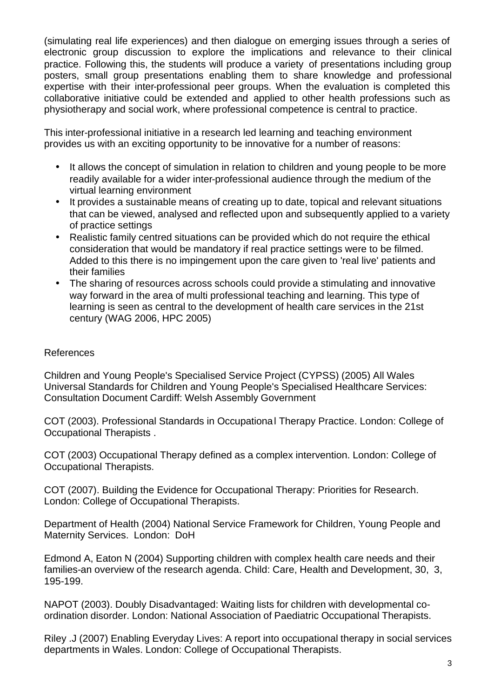(simulating real life experiences) and then dialogue on emerging issues through a series of electronic group discussion to explore the implications and relevance to their clinical practice. Following this, the students will produce a variety of presentations including group posters, small group presentations enabling them to share knowledge and professional expertise with their inter-professional peer groups. When the evaluation is completed this collaborative initiative could be extended and applied to other health professions such as physiotherapy and social work, where professional competence is central to practice.

This inter-professional initiative in a research led learning and teaching environment provides us with an exciting opportunity to be innovative for a number of reasons:

- It allows the concept of simulation in relation to children and young people to be more readily available for a wider inter-professional audience through the medium of the virtual learning environment
- It provides a sustainable means of creating up to date, topical and relevant situations that can be viewed, analysed and reflected upon and subsequently applied to a variety of practice settings
- Realistic family centred situations can be provided which do not require the ethical consideration that would be mandatory if real practice settings were to be filmed. Added to this there is no impingement upon the care given to 'real live' patients and their families
- The sharing of resources across schools could provide a stimulating and innovative way forward in the area of multi professional teaching and learning. This type of learning is seen as central to the development of health care services in the 21st century (WAG 2006, HPC 2005)

#### References

Children and Young People's Specialised Service Project (CYPSS) (2005) All Wales Universal Standards for Children and Young People's Specialised Healthcare Services: Consultation Document Cardiff: Welsh Assembly Government

COT (2003). Professional Standards in Occupational Therapy Practice. London: College of Occupational Therapists .

COT (2003) Occupational Therapy defined as a complex intervention. London: College of Occupational Therapists.

COT (2007). Building the Evidence for Occupational Therapy: Priorities for Research. London: College of Occupational Therapists.

Department of Health (2004) National Service Framework for Children, Young People and Maternity Services. London: DoH

Edmond A, Eaton N (2004) Supporting children with complex health care needs and their families-an overview of the research agenda. Child: Care, Health and Development, 30, 3, 195-199.

NAPOT (2003). Doubly Disadvantaged: Waiting lists for children with developmental coordination disorder. London: National Association of Paediatric Occupational Therapists.

Riley .J (2007) Enabling Everyday Lives: A report into occupational therapy in social services departments in Wales. London: College of Occupational Therapists.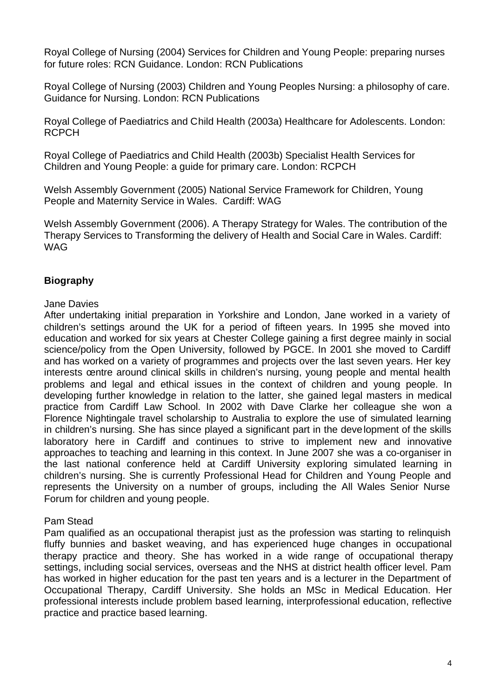Royal College of Nursing (2004) Services for Children and Young People: preparing nurses for future roles: RCN Guidance. London: RCN Publications

Royal College of Nursing (2003) Children and Young Peoples Nursing: a philosophy of care. Guidance for Nursing. London: RCN Publications

Royal College of Paediatrics and Child Health (2003a) Healthcare for Adolescents. London: RCPCH

Royal College of Paediatrics and Child Health (2003b) Specialist Health Services for Children and Young People: a guide for primary care. London: RCPCH

Welsh Assembly Government (2005) National Service Framework for Children, Young People and Maternity Service in Wales. Cardiff: WAG

Welsh Assembly Government (2006). A Therapy Strategy for Wales. The contribution of the Therapy Services to Transforming the delivery of Health and Social Care in Wales. Cardiff: WAG

# **Biography**

#### Jane Davies

After undertaking initial preparation in Yorkshire and London, Jane worked in a variety of children's settings around the UK for a period of fifteen years. In 1995 she moved into education and worked for six years at Chester College gaining a first degree mainly in social science/policy from the Open University, followed by PGCE. In 2001 she moved to Cardiff and has worked on a variety of programmes and projects over the last seven years. Her key interests centre around clinical skills in children's nursing, young people and mental health problems and legal and ethical issues in the context of children and young people. In developing further knowledge in relation to the latter, she gained legal masters in medical practice from Cardiff Law School. In 2002 with Dave Clarke her colleague she won a Florence Nightingale travel scholarship to Australia to explore the use of simulated learning in children's nursing. She has since played a significant part in the development of the skills laboratory here in Cardiff and continues to strive to implement new and innovative approaches to teaching and learning in this context. In June 2007 she was a co-organiser in the last national conference held at Cardiff University exploring simulated learning in children's nursing. She is currently Professional Head for Children and Young People and represents the University on a number of groups, including the All Wales Senior Nurse Forum for children and young people.

#### Pam Stead

Pam qualified as an occupational therapist just as the profession was starting to relinquish fluffy bunnies and basket weaving, and has experienced huge changes in occupational therapy practice and theory. She has worked in a wide range of occupational therapy settings, including social services, overseas and the NHS at district health officer level. Pam has worked in higher education for the past ten years and is a lecturer in the Department of Occupational Therapy, Cardiff University. She holds an MSc in Medical Education. Her professional interests include problem based learning, interprofessional education, reflective practice and practice based learning.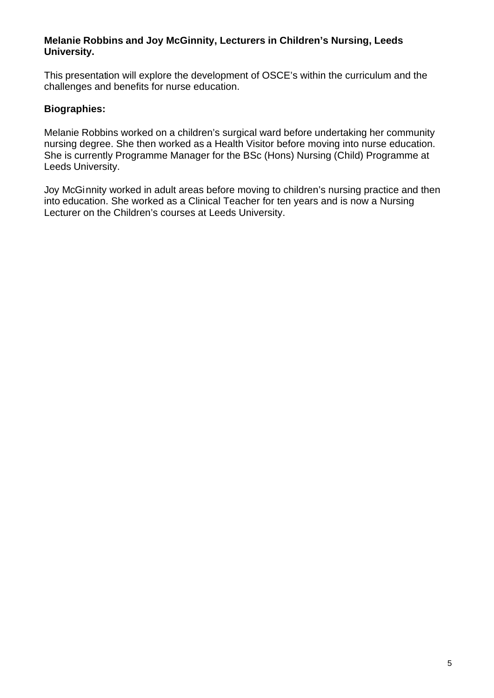#### **Melanie Robbins and Joy McGinnity, Lecturers in Children's Nursing, Leeds University.**

This presentation will explore the development of OSCE's within the curriculum and the challenges and benefits for nurse education.

### **Biographies:**

Melanie Robbins worked on a children's surgical ward before undertaking her community nursing degree. She then worked as a Health Visitor before moving into nurse education. She is currently Programme Manager for the BSc (Hons) Nursing (Child) Programme at Leeds University.

Joy McGinnity worked in adult areas before moving to children's nursing practice and then into education. She worked as a Clinical Teacher for ten years and is now a Nursing Lecturer on the Children's courses at Leeds University.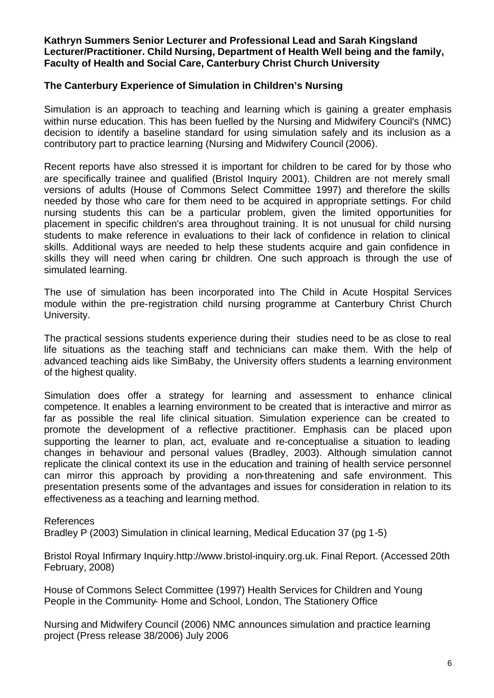#### **Kathryn Summers Senior Lecturer and Professional Lead and Sarah Kingsland Lecturer/Practitioner. Child Nursing, Department of Health Well being and the family, Faculty of Health and Social Care, Canterbury Christ Church University**

#### **The Canterbury Experience of Simulation in Children's Nursing**

Simulation is an approach to teaching and learning which is gaining a greater emphasis within nurse education. This has been fuelled by the Nursing and Midwifery Council's (NMC) decision to identify a baseline standard for using simulation safely and its inclusion as a contributory part to practice learning (Nursing and Midwifery Council (2006).

Recent reports have also stressed it is important for children to be cared for by those who are specifically trainee and qualified (Bristol Inquiry 2001). Children are not merely small versions of adults (House of Commons Select Committee 1997) and therefore the skills needed by those who care for them need to be acquired in appropriate settings. For child nursing students this can be a particular problem, given the limited opportunities for placement in specific children's area throughout training. It is not unusual for child nursing students to make reference in evaluations to their lack of confidence in relation to clinical skills. Additional ways are needed to help these students acquire and gain confidence in skills they will need when caring br children. One such approach is through the use of simulated learning.

The use of simulation has been incorporated into The Child in Acute Hospital Services module within the pre-registration child nursing programme at Canterbury Christ Church University.

The practical sessions students experience during their studies need to be as close to real life situations as the teaching staff and technicians can make them. With the help of advanced teaching aids like SimBaby, the University offers students a learning environment of the highest quality.

Simulation does offer a strategy for learning and assessment to enhance clinical competence. It enables a learning environment to be created that is interactive and mirror as far as possible the real life clinical situation. Simulation experience can be created to promote the development of a reflective practitioner. Emphasis can be placed upon supporting the learner to plan, act, evaluate and re-conceptualise a situation to leading changes in behaviour and personal values (Bradley, 2003). Although simulation cannot replicate the clinical context its use in the education and training of health service personnel can mirror this approach by providing a non-threatening and safe environment. This presentation presents some of the advantages and issues for consideration in relation to its effectiveness as a teaching and learning method.

#### References

Bradley P (2003) Simulation in clinical learning, Medical Education 37 (pg 1-5)

Bristol Royal Infirmary Inquiry.http://www.bristol-inquiry.org.uk. Final Report. (Accessed 20th February, 2008)

House of Commons Select Committee (1997) Health Services for Children and Young People in the Community- Home and School, London, The Stationery Office

Nursing and Midwifery Council (2006) NMC announces simulation and practice learning project (Press release 38/2006) July 2006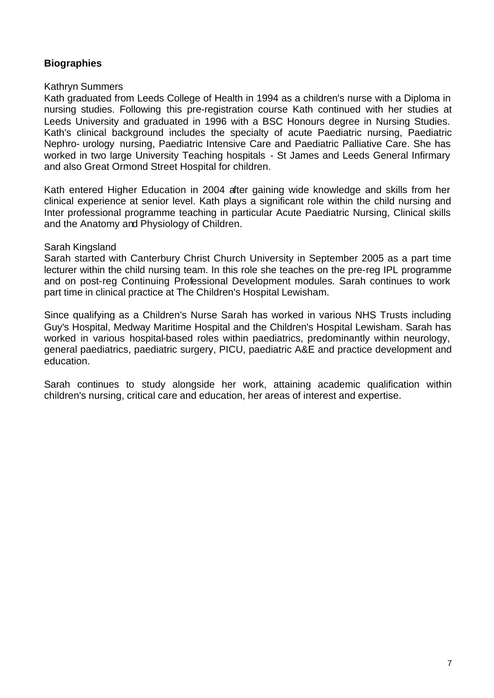# **Biographies**

#### Kathryn Summers

Kath graduated from Leeds College of Health in 1994 as a children's nurse with a Diploma in nursing studies. Following this pre-registration course Kath continued with her studies at Leeds University and graduated in 1996 with a BSC Honours degree in Nursing Studies. Kath's clinical background includes the specialty of acute Paediatric nursing, Paediatric Nephro- urology nursing, Paediatric Intensive Care and Paediatric Palliative Care. She has worked in two large University Teaching hospitals - St James and Leeds General Infirmary and also Great Ormond Street Hospital for children.

Kath entered Higher Education in 2004 after gaining wide knowledge and skills from her clinical experience at senior level. Kath plays a significant role within the child nursing and Inter professional programme teaching in particular Acute Paediatric Nursing, Clinical skills and the Anatomy and Physiology of Children.

#### Sarah Kingsland

Sarah started with Canterbury Christ Church University in September 2005 as a part time lecturer within the child nursing team. In this role she teaches on the pre-reg IPL programme and on post-reg Continuing Professional Development modules. Sarah continues to work part time in clinical practice at The Children's Hospital Lewisham.

Since qualifying as a Children's Nurse Sarah has worked in various NHS Trusts including Guy's Hospital, Medway Maritime Hospital and the Children's Hospital Lewisham. Sarah has worked in various hospital-based roles within paediatrics, predominantly within neurology, general paediatrics, paediatric surgery, PICU, paediatric A&E and practice development and education.

Sarah continues to study alongside her work, attaining academic qualification within children's nursing, critical care and education, her areas of interest and expertise.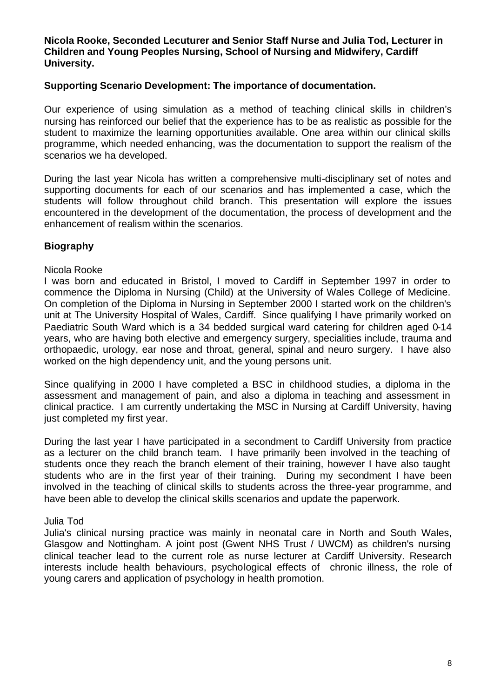#### **Nicola Rooke, Seconded Lecuturer and Senior Staff Nurse and Julia Tod, Lecturer in Children and Young Peoples Nursing, School of Nursing and Midwifery, Cardiff University.**

#### **Supporting Scenario Development: The importance of documentation.**

Our experience of using simulation as a method of teaching clinical skills in children's nursing has reinforced our belief that the experience has to be as realistic as possible for the student to maximize the learning opportunities available. One area within our clinical skills programme, which needed enhancing, was the documentation to support the realism of the scenarios we ha developed.

During the last year Nicola has written a comprehensive multi-disciplinary set of notes and supporting documents for each of our scenarios and has implemented a case, which the students will follow throughout child branch. This presentation will explore the issues encountered in the development of the documentation, the process of development and the enhancement of realism within the scenarios.

# **Biography**

#### Nicola Rooke

I was born and educated in Bristol, I moved to Cardiff in September 1997 in order to commence the Diploma in Nursing (Child) at the University of Wales College of Medicine. On completion of the Diploma in Nursing in September 2000 I started work on the children's unit at The University Hospital of Wales, Cardiff. Since qualifying I have primarily worked on Paediatric South Ward which is a 34 bedded surgical ward catering for children aged 0-14 years, who are having both elective and emergency surgery, specialities include, trauma and orthopaedic, urology, ear nose and throat, general, spinal and neuro surgery. I have also worked on the high dependency unit, and the young persons unit.

Since qualifying in 2000 I have completed a BSC in childhood studies, a diploma in the assessment and management of pain, and also a diploma in teaching and assessment in clinical practice. I am currently undertaking the MSC in Nursing at Cardiff University, having just completed my first year.

During the last year I have participated in a secondment to Cardiff University from practice as a lecturer on the child branch team. I have primarily been involved in the teaching of students once they reach the branch element of their training, however I have also taught students who are in the first year of their training. During my secondment I have been involved in the teaching of clinical skills to students across the three-year programme, and have been able to develop the clinical skills scenarios and update the paperwork.

#### Julia Tod

Julia's clinical nursing practice was mainly in neonatal care in North and South Wales, Glasgow and Nottingham. A joint post (Gwent NHS Trust / UWCM) as children's nursing clinical teacher lead to the current role as nurse lecturer at Cardiff University. Research interests include health behaviours, psychological effects of chronic illness, the role of young carers and application of psychology in health promotion.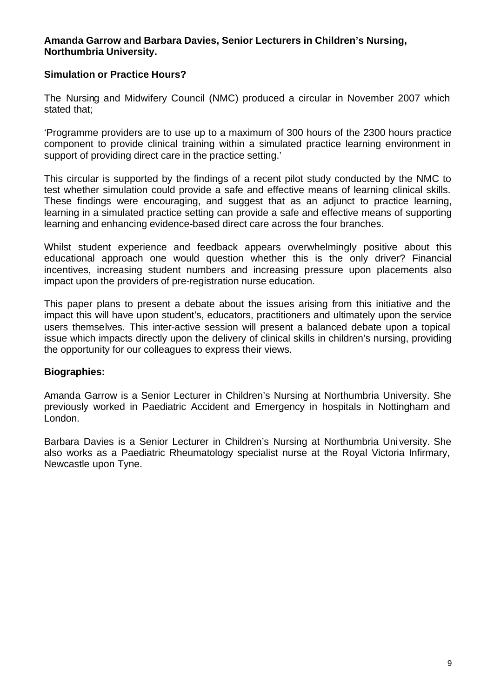#### **Amanda Garrow and Barbara Davies, Senior Lecturers in Children's Nursing, Northumbria University.**

#### **Simulation or Practice Hours?**

The Nursing and Midwifery Council (NMC) produced a circular in November 2007 which stated that;

'Programme providers are to use up to a maximum of 300 hours of the 2300 hours practice component to provide clinical training within a simulated practice learning environment in support of providing direct care in the practice setting.'

This circular is supported by the findings of a recent pilot study conducted by the NMC to test whether simulation could provide a safe and effective means of learning clinical skills. These findings were encouraging, and suggest that as an adjunct to practice learning, learning in a simulated practice setting can provide a safe and effective means of supporting learning and enhancing evidence-based direct care across the four branches.

Whilst student experience and feedback appears overwhelmingly positive about this educational approach one would question whether this is the only driver? Financial incentives, increasing student numbers and increasing pressure upon placements also impact upon the providers of pre-registration nurse education.

This paper plans to present a debate about the issues arising from this initiative and the impact this will have upon student's, educators, practitioners and ultimately upon the service users themselves. This inter-active session will present a balanced debate upon a topical issue which impacts directly upon the delivery of clinical skills in children's nursing, providing the opportunity for our colleagues to express their views.

#### **Biographies:**

Amanda Garrow is a Senior Lecturer in Children's Nursing at Northumbria University. She previously worked in Paediatric Accident and Emergency in hospitals in Nottingham and London.

Barbara Davies is a Senior Lecturer in Children's Nursing at Northumbria University. She also works as a Paediatric Rheumatology specialist nurse at the Royal Victoria Infirmary, Newcastle upon Tyne.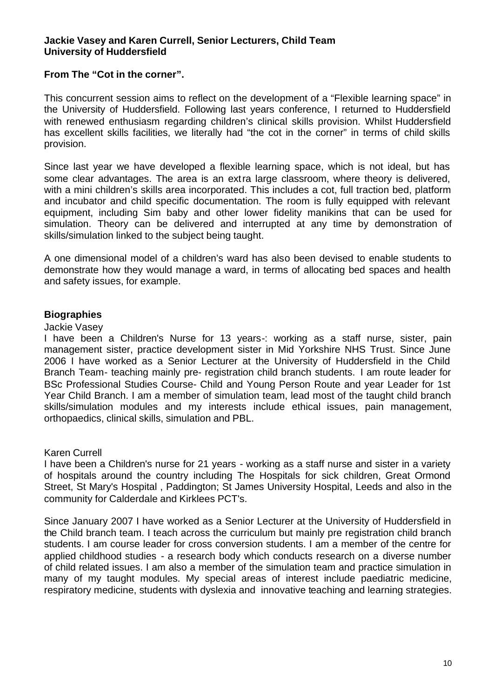#### **Jackie Vasey and Karen Currell, Senior Lecturers, Child Team University of Huddersfield**

#### **From The "Cot in the corner".**

This concurrent session aims to reflect on the development of a "Flexible learning space" in the University of Huddersfield. Following last years conference, I returned to Huddersfield with renewed enthusiasm regarding children's clinical skills provision. Whilst Huddersfield has excellent skills facilities, we literally had "the cot in the corner" in terms of child skills provision.

Since last year we have developed a flexible learning space, which is not ideal, but has some clear advantages. The area is an extra large classroom, where theory is delivered, with a mini children's skills area incorporated. This includes a cot, full traction bed, platform and incubator and child specific documentation. The room is fully equipped with relevant equipment, including Sim baby and other lower fidelity manikins that can be used for simulation. Theory can be delivered and interrupted at any time by demonstration of skills/simulation linked to the subject being taught.

A one dimensional model of a children's ward has also been devised to enable students to demonstrate how they would manage a ward, in terms of allocating bed spaces and health and safety issues, for example.

#### **Biographies**

#### Jackie Vasey

I have been a Children's Nurse for 13 years-: working as a staff nurse, sister, pain management sister, practice development sister in Mid Yorkshire NHS Trust. Since June 2006 I have worked as a Senior Lecturer at the University of Huddersfield in the Child Branch Team- teaching mainly pre- registration child branch students. I am route leader for BSc Professional Studies Course- Child and Young Person Route and year Leader for 1st Year Child Branch. I am a member of simulation team, lead most of the taught child branch skills/simulation modules and my interests include ethical issues, pain management, orthopaedics, clinical skills, simulation and PBL.

#### Karen Currell

I have been a Children's nurse for 21 years - working as a staff nurse and sister in a variety of hospitals around the country including The Hospitals for sick children, Great Ormond Street, St Mary's Hospital , Paddington; St James University Hospital, Leeds and also in the community for Calderdale and Kirklees PCT's.

Since January 2007 I have worked as a Senior Lecturer at the University of Huddersfield in the Child branch team. I teach across the curriculum but mainly pre registration child branch students. I am course leader for cross conversion students. I am a member of the centre for applied childhood studies - a research body which conducts research on a diverse number of child related issues. I am also a member of the simulation team and practice simulation in many of my taught modules. My special areas of interest include paediatric medicine, respiratory medicine, students with dyslexia and innovative teaching and learning strategies.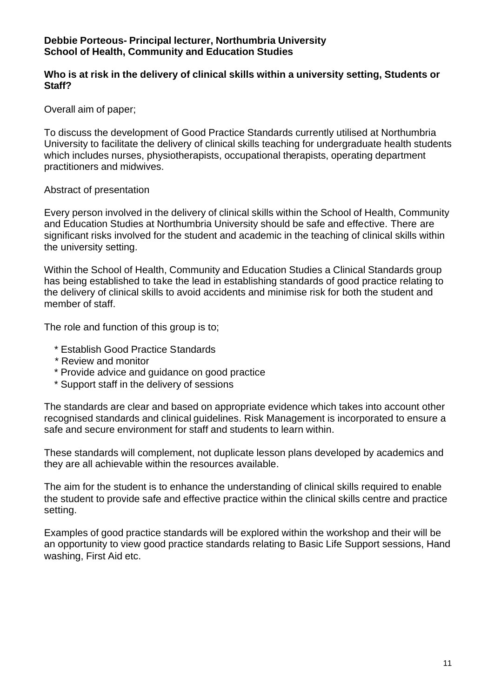#### **Debbie Porteous- Principal lecturer, Northumbria University School of Health, Community and Education Studies**

#### **Who is at risk in the delivery of clinical skills within a university setting, Students or Staff?**

Overall aim of paper;

To discuss the development of Good Practice Standards currently utilised at Northumbria University to facilitate the delivery of clinical skills teaching for undergraduate health students which includes nurses, physiotherapists, occupational therapists, operating department practitioners and midwives.

#### Abstract of presentation

Every person involved in the delivery of clinical skills within the School of Health, Community and Education Studies at Northumbria University should be safe and effective. There are significant risks involved for the student and academic in the teaching of clinical skills within the university setting.

Within the School of Health, Community and Education Studies a Clinical Standards group has being established to take the lead in establishing standards of good practice relating to the delivery of clinical skills to avoid accidents and minimise risk for both the student and member of staff.

The role and function of this group is to;

- \* Establish Good Practice Standards
- \* Review and monitor
- \* Provide advice and guidance on good practice
- \* Support staff in the delivery of sessions

The standards are clear and based on appropriate evidence which takes into account other recognised standards and clinical guidelines. Risk Management is incorporated to ensure a safe and secure environment for staff and students to learn within.

These standards will complement, not duplicate lesson plans developed by academics and they are all achievable within the resources available.

The aim for the student is to enhance the understanding of clinical skills required to enable the student to provide safe and effective practice within the clinical skills centre and practice setting.

Examples of good practice standards will be explored within the workshop and their will be an opportunity to view good practice standards relating to Basic Life Support sessions, Hand washing, First Aid etc.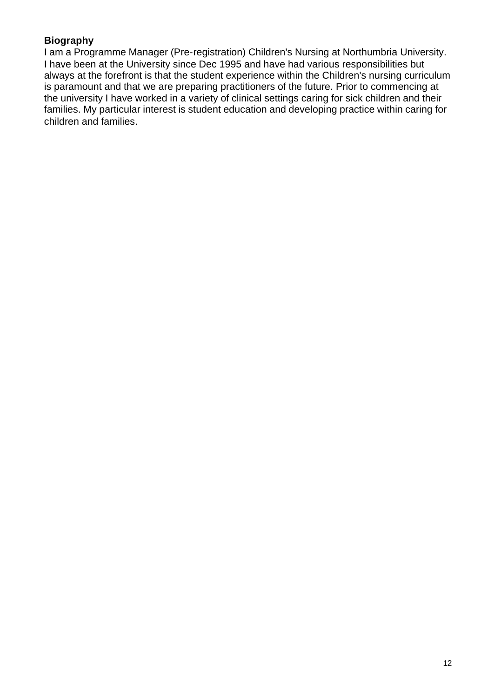# **Biography**

I am a Programme Manager (Pre-registration) Children's Nursing at Northumbria University. I have been at the University since Dec 1995 and have had various responsibilities but always at the forefront is that the student experience within the Children's nursing curriculum is paramount and that we are preparing practitioners of the future. Prior to commencing at the university I have worked in a variety of clinical settings caring for sick children and their families. My particular interest is student education and developing practice within caring for children and families.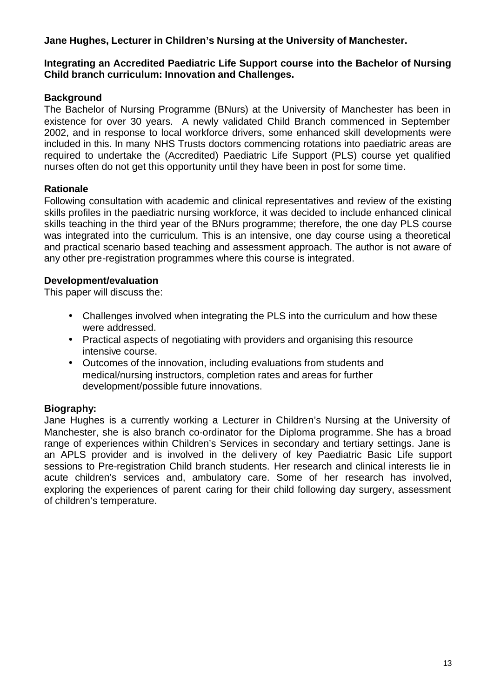# **Jane Hughes, Lecturer in Children's Nursing at the University of Manchester.**

#### **Integrating an Accredited Paediatric Life Support course into the Bachelor of Nursing Child branch curriculum: Innovation and Challenges.**

### **Background**

The Bachelor of Nursing Programme (BNurs) at the University of Manchester has been in existence for over 30 years. A newly validated Child Branch commenced in September 2002, and in response to local workforce drivers, some enhanced skill developments were included in this. In many NHS Trusts doctors commencing rotations into paediatric areas are required to undertake the (Accredited) Paediatric Life Support (PLS) course yet qualified nurses often do not get this opportunity until they have been in post for some time.

#### **Rationale**

Following consultation with academic and clinical representatives and review of the existing skills profiles in the paediatric nursing workforce, it was decided to include enhanced clinical skills teaching in the third year of the BNurs programme; therefore, the one day PLS course was integrated into the curriculum. This is an intensive, one day course using a theoretical and practical scenario based teaching and assessment approach. The author is not aware of any other pre-registration programmes where this course is integrated.

#### **Development/evaluation**

This paper will discuss the:

- Challenges involved when integrating the PLS into the curriculum and how these were addressed.
- Practical aspects of negotiating with providers and organising this resource intensive course.
- Outcomes of the innovation, including evaluations from students and medical/nursing instructors, completion rates and areas for further development/possible future innovations.

# **Biography:**

Jane Hughes is a currently working a Lecturer in Children's Nursing at the University of Manchester, she is also branch co-ordinator for the Diploma programme. She has a broad range of experiences within Children's Services in secondary and tertiary settings. Jane is an APLS provider and is involved in the delivery of key Paediatric Basic Life support sessions to Pre-registration Child branch students. Her research and clinical interests lie in acute children's services and, ambulatory care. Some of her research has involved, exploring the experiences of parent caring for their child following day surgery, assessment of children's temperature.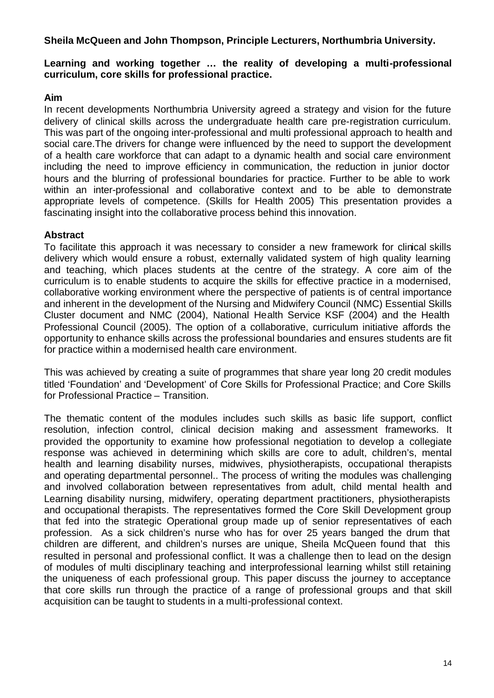**Sheila McQueen and John Thompson, Principle Lecturers, Northumbria University.** 

# **Learning and working together … the reality of developing a multi-professional curriculum, core skills for professional practice.**

#### **Aim**

In recent developments Northumbria University agreed a strategy and vision for the future delivery of clinical skills across the undergraduate health care pre-registration curriculum. This was part of the ongoing inter-professional and multi professional approach to health and social care.The drivers for change were influenced by the need to support the development of a health care workforce that can adapt to a dynamic health and social care environment including the need to improve efficiency in communication, the reduction in junior doctor hours and the blurring of professional boundaries for practice. Further to be able to work within an inter-professional and collaborative context and to be able to demonstrate appropriate levels of competence. (Skills for Health 2005) This presentation provides a fascinating insight into the collaborative process behind this innovation.

# **Abstract**

To facilitate this approach it was necessary to consider a new framework for clinical skills delivery which would ensure a robust, externally validated system of high quality learning and teaching, which places students at the centre of the strategy. A core aim of the curriculum is to enable students to acquire the skills for effective practice in a modernised, collaborative working environment where the perspective of patients is of central importance and inherent in the development of the Nursing and Midwifery Council (NMC) Essential Skills Cluster document and NMC (2004), National Health Service KSF (2004) and the Health Professional Council (2005). The option of a collaborative, curriculum initiative affords the opportunity to enhance skills across the professional boundaries and ensures students are fit for practice within a modernised health care environment.

This was achieved by creating a suite of programmes that share year long 20 credit modules titled 'Foundation' and 'Development' of Core Skills for Professional Practice; and Core Skills for Professional Practice – Transition.

The thematic content of the modules includes such skills as basic life support, conflict resolution, infection control, clinical decision making and assessment frameworks. It provided the opportunity to examine how professional negotiation to develop a collegiate response was achieved in determining which skills are core to adult, children's, mental health and learning disability nurses, midwives, physiotherapists, occupational therapists and operating departmental personnel.. The process of writing the modules was challenging and involved collaboration between representatives from adult, child mental health and Learning disability nursing, midwifery, operating department practitioners, physiotherapists and occupational therapists. The representatives formed the Core Skill Development group that fed into the strategic Operational group made up of senior representatives of each profession. As a sick children's nurse who has for over 25 years banged the drum that children are different, and children's nurses are unique, Sheila McQueen found that this resulted in personal and professional conflict. It was a challenge then to lead on the design of modules of multi disciplinary teaching and interprofessional learning whilst still retaining the uniqueness of each professional group. This paper discuss the journey to acceptance that core skills run through the practice of a range of professional groups and that skill acquisition can be taught to students in a multi-professional context.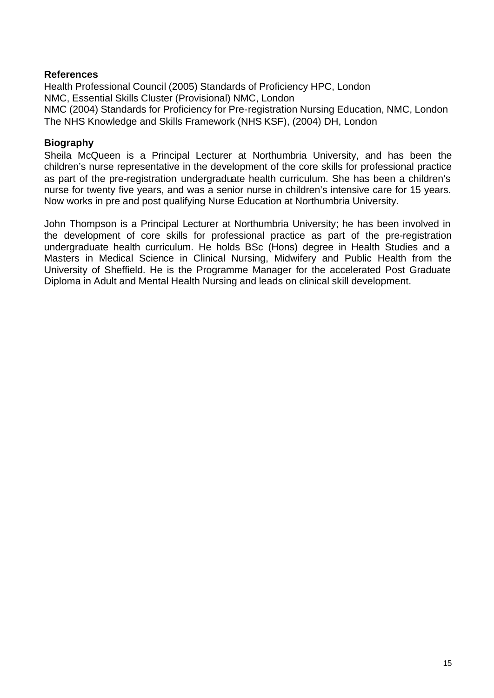#### **References**

Health Professional Council (2005) Standards of Proficiency HPC, London NMC, Essential Skills Cluster (Provisional) NMC, London NMC (2004) Standards for Proficiency for Pre-registration Nursing Education, NMC, London The NHS Knowledge and Skills Framework (NHS KSF), (2004) DH, London

### **Biography**

Sheila McQueen is a Principal Lecturer at Northumbria University, and has been the children's nurse representative in the development of the core skills for professional practice as part of the pre-registration undergraduate health curriculum. She has been a children's nurse for twenty five years, and was a senior nurse in children's intensive care for 15 years. Now works in pre and post qualifying Nurse Education at Northumbria University.

John Thompson is a Principal Lecturer at Northumbria University; he has been involved in the development of core skills for professional practice as part of the pre-registration undergraduate health curriculum. He holds BSc (Hons) degree in Health Studies and a Masters in Medical Science in Clinical Nursing, Midwifery and Public Health from the University of Sheffield. He is the Programme Manager for the accelerated Post Graduate Diploma in Adult and Mental Health Nursing and leads on clinical skill development.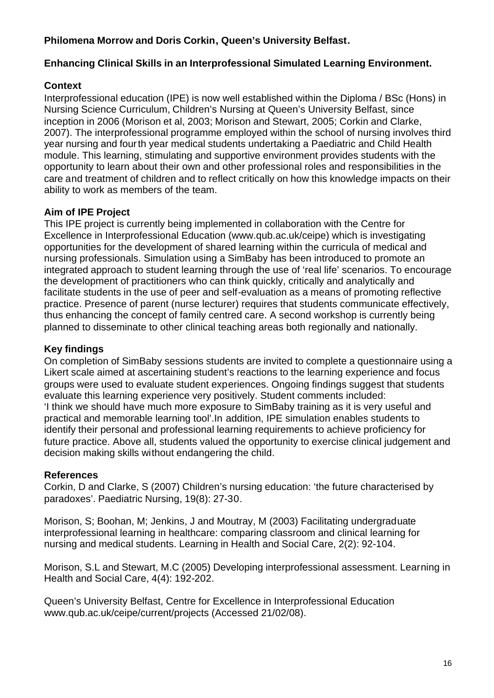# **Philomena Morrow and Doris Corkin, Queen's University Belfast.**

# **Enhancing Clinical Skills in an Interprofessional Simulated Learning Environment.**

# **Context**

Interprofessional education (IPE) is now well established within the Diploma / BSc (Hons) in Nursing Science Curriculum, Children's Nursing at Queen's University Belfast, since inception in 2006 (Morison et al, 2003; Morison and Stewart, 2005; Corkin and Clarke, 2007). The interprofessional programme employed within the school of nursing involves third year nursing and fourth year medical students undertaking a Paediatric and Child Health module. This learning, stimulating and supportive environment provides students with the opportunity to learn about their own and other professional roles and responsibilities in the care and treatment of children and to reflect critically on how this knowledge impacts on their ability to work as members of the team.

# **Aim of IPE Project**

This IPE project is currently being implemented in collaboration with the Centre for Excellence in Interprofessional Education (www.qub.ac.uk/ceipe) which is investigating opportunities for the development of shared learning within the curricula of medical and nursing professionals. Simulation using a SimBaby has been introduced to promote an integrated approach to student learning through the use of 'real life' scenarios. To encourage the development of practitioners who can think quickly, critically and analytically and facilitate students in the use of peer and self-evaluation as a means of promoting reflective practice. Presence of parent (nurse lecturer) requires that students communicate effectively, thus enhancing the concept of family centred care. A second workshop is currently being planned to disseminate to other clinical teaching areas both regionally and nationally.

# **Key findings**

On completion of SimBaby sessions students are invited to complete a questionnaire using a Likert scale aimed at ascertaining student's reactions to the learning experience and focus groups were used to evaluate student experiences. Ongoing findings suggest that students evaluate this learning experience very positively. Student comments included: 'I think we should have much more exposure to SimBaby training as it is very useful and practical and memorable learning tool'.In addition, IPE simulation enables students to identify their personal and professional learning requirements to achieve proficiency for future practice. Above all, students valued the opportunity to exercise clinical judgement and decision making skills without endangering the child.

# **References**

Corkin, D and Clarke, S (2007) Children's nursing education: 'the future characterised by paradoxes'. Paediatric Nursing, 19(8): 27-30.

Morison, S; Boohan, M; Jenkins, J and Moutray, M (2003) Facilitating undergraduate interprofessional learning in healthcare: comparing classroom and clinical learning for nursing and medical students. Learning in Health and Social Care, 2(2): 92-104.

Morison, S.L and Stewart, M.C (2005) Developing interprofessional assessment. Learning in Health and Social Care, 4(4): 192-202.

Queen's University Belfast, Centre for Excellence in Interprofessional Education www.qub.ac.uk/ceipe/current/projects (Accessed 21/02/08).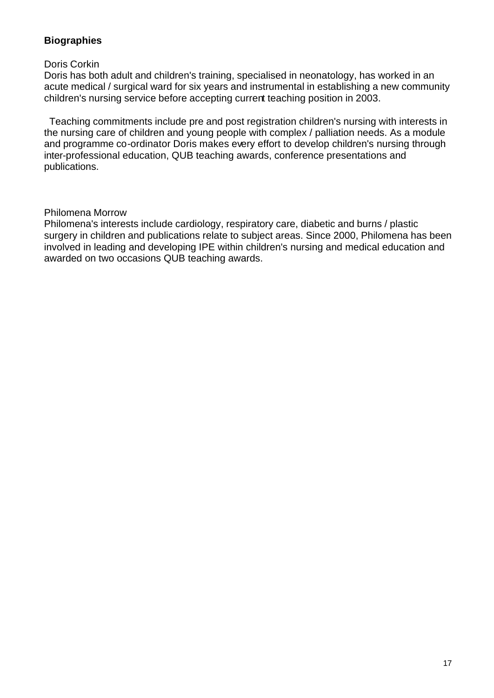# **Biographies**

#### Doris Corkin

Doris has both adult and children's training, specialised in neonatology, has worked in an acute medical / surgical ward for six years and instrumental in establishing a new community children's nursing service before accepting current teaching position in 2003.

 Teaching commitments include pre and post registration children's nursing with interests in the nursing care of children and young people with complex / palliation needs. As a module and programme co-ordinator Doris makes every effort to develop children's nursing through inter-professional education, QUB teaching awards, conference presentations and publications.

#### Philomena Morrow

Philomena's interests include cardiology, respiratory care, diabetic and burns / plastic surgery in children and publications relate to subject areas. Since 2000, Philomena has been involved in leading and developing IPE within children's nursing and medical education and awarded on two occasions QUB teaching awards.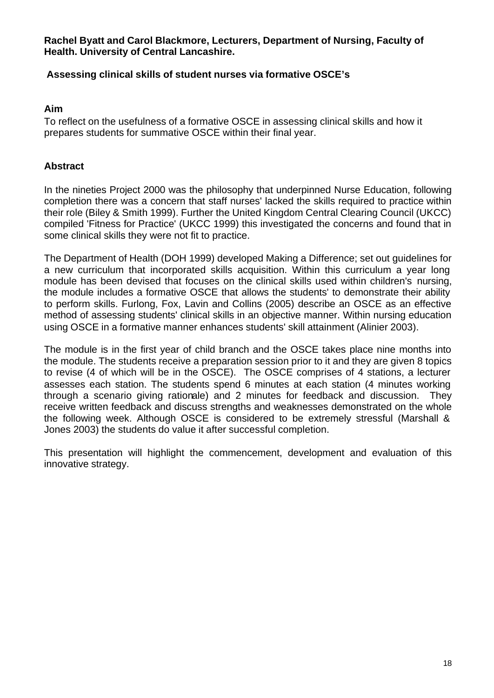**Rachel Byatt and Carol Blackmore, Lecturers, Department of Nursing, Faculty of Health. University of Central Lancashire.** 

#### **Assessing clinical skills of student nurses via formative OSCE's**

#### **Aim**

To reflect on the usefulness of a formative OSCE in assessing clinical skills and how it prepares students for summative OSCE within their final year.

#### **Abstract**

In the nineties Project 2000 was the philosophy that underpinned Nurse Education, following completion there was a concern that staff nurses' lacked the skills required to practice within their role (Biley & Smith 1999). Further the United Kingdom Central Clearing Council (UKCC) compiled 'Fitness for Practice' (UKCC 1999) this investigated the concerns and found that in some clinical skills they were not fit to practice.

The Department of Health (DOH 1999) developed Making a Difference; set out guidelines for a new curriculum that incorporated skills acquisition. Within this curriculum a year long module has been devised that focuses on the clinical skills used within children's nursing, the module includes a formative OSCE that allows the students' to demonstrate their ability to perform skills. Furlong, Fox, Lavin and Collins (2005) describe an OSCE as an effective method of assessing students' clinical skills in an objective manner. Within nursing education using OSCE in a formative manner enhances students' skill attainment (Alinier 2003).

The module is in the first year of child branch and the OSCE takes place nine months into the module. The students receive a preparation session prior to it and they are given 8 topics to revise (4 of which will be in the OSCE). The OSCE comprises of 4 stations, a lecturer assesses each station. The students spend 6 minutes at each station (4 minutes working through a scenario giving rationale) and 2 minutes for feedback and discussion. They receive written feedback and discuss strengths and weaknesses demonstrated on the whole the following week. Although OSCE is considered to be extremely stressful (Marshall & Jones 2003) the students do value it after successful completion.

This presentation will highlight the commencement, development and evaluation of this innovative strategy.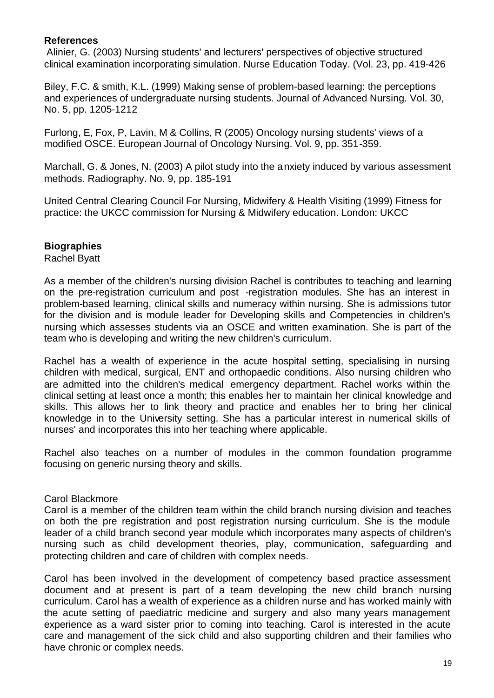#### **References**

Alinier, G. (2003) Nursing students' and lecturers' perspectives of objective structured clinical examination incorporating simulation. Nurse Education Today. (Vol. 23, pp. 419-426

Biley, F.C. & smith, K.L. (1999) Making sense of problem-based learning: the perceptions and experiences of undergraduate nursing students. Journal of Advanced Nursing. Vol. 30, No. 5, pp. 1205-1212

Furlong, E, Fox, P, Lavin, M & Collins, R (2005) Oncology nursing students' views of a modified OSCE. European Journal of Oncology Nursing. Vol. 9, pp. 351-359.

Marchall, G. & Jones, N. (2003) A pilot study into the anxiety induced by various assessment methods. Radiography. No. 9, pp. 185-191

United Central Clearing Council For Nursing, Midwifery & Health Visiting (1999) Fitness for practice: the UKCC commission for Nursing & Midwifery education. London: UKCC

# **Biographies**

Rachel Byatt

As a member of the children's nursing division Rachel is contributes to teaching and learning on the pre-registration curriculum and post -registration modules. She has an interest in problem-based learning, clinical skills and numeracy within nursing. She is admissions tutor for the division and is module leader for Developing skills and Competencies in children's nursing which assesses students via an OSCE and written examination. She is part of the team who is developing and writing the new children's curriculum.

Rachel has a wealth of experience in the acute hospital setting, specialising in nursing children with medical, surgical, ENT and orthopaedic conditions. Also nursing children who are admitted into the children's medical emergency department. Rachel works within the clinical setting at least once a month; this enables her to maintain her clinical knowledge and skills. This allows her to link theory and practice and enables her to bring her clinical knowledge in to the University setting. She has a particular interest in numerical skills of nurses' and incorporates this into her teaching where applicable.

Rachel also teaches on a number of modules in the common foundation programme focusing on generic nursing theory and skills.

#### Carol Blackmore

Carol is a member of the children team within the child branch nursing division and teaches on both the pre registration and post registration nursing curriculum. She is the module leader of a child branch second year module which incorporates many aspects of children's nursing such as child development theories, play, communication, safeguarding and protecting children and care of children with complex needs.

Carol has been involved in the development of competency based practice assessment document and at present is part of a team developing the new child branch nursing curriculum. Carol has a wealth of experience as a children nurse and has worked mainly with the acute setting of paediatric medicine and surgery and also many years management experience as a ward sister prior to coming into teaching. Carol is interested in the acute care and management of the sick child and also supporting children and their families who have chronic or complex needs.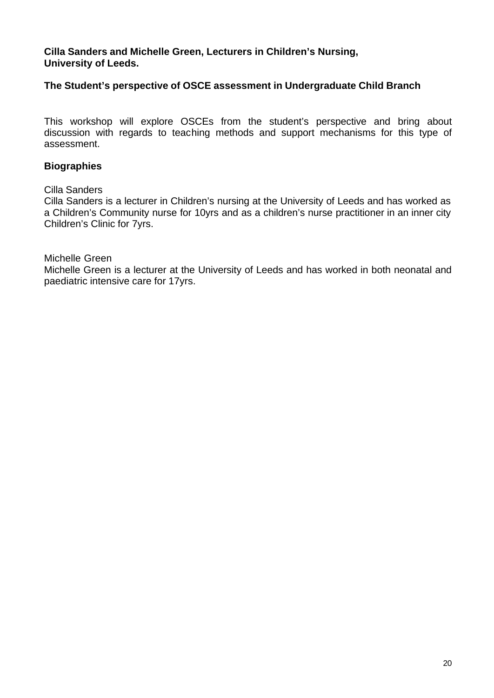**Cilla Sanders and Michelle Green, Lecturers in Children's Nursing, University of Leeds.** 

#### **The Student's perspective of OSCE assessment in Undergraduate Child Branch**

This workshop will explore OSCEs from the student's perspective and bring about discussion with regards to teaching methods and support mechanisms for this type of assessment.

#### **Biographies**

#### Cilla Sanders

Cilla Sanders is a lecturer in Children's nursing at the University of Leeds and has worked as a Children's Community nurse for 10yrs and as a children's nurse practitioner in an inner city Children's Clinic for 7yrs.

#### Michelle Green

Michelle Green is a lecturer at the University of Leeds and has worked in both neonatal and paediatric intensive care for 17yrs.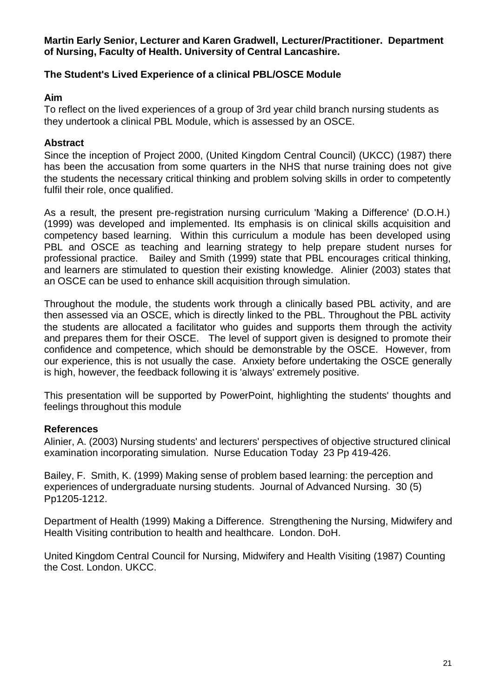**Martin Early Senior, Lecturer and Karen Gradwell, Lecturer/Practitioner. Department of Nursing, Faculty of Health. University of Central Lancashire.** 

#### **The Student's Lived Experience of a clinical PBL/OSCE Module**

#### **Aim**

To reflect on the lived experiences of a group of 3rd year child branch nursing students as they undertook a clinical PBL Module, which is assessed by an OSCE.

#### **Abstract**

Since the inception of Project 2000, (United Kingdom Central Council) (UKCC) (1987) there has been the accusation from some quarters in the NHS that nurse training does not give the students the necessary critical thinking and problem solving skills in order to competently fulfil their role, once qualified.

As a result, the present pre-registration nursing curriculum 'Making a Difference' (D.O.H.) (1999) was developed and implemented. Its emphasis is on clinical skills acquisition and competency based learning. Within this curriculum a module has been developed using PBL and OSCE as teaching and learning strategy to help prepare student nurses for professional practice. Bailey and Smith (1999) state that PBL encourages critical thinking, and learners are stimulated to question their existing knowledge. Alinier (2003) states that an OSCE can be used to enhance skill acquisition through simulation.

Throughout the module, the students work through a clinically based PBL activity, and are then assessed via an OSCE, which is directly linked to the PBL. Throughout the PBL activity the students are allocated a facilitator who guides and supports them through the activity and prepares them for their OSCE. The level of support given is designed to promote their confidence and competence, which should be demonstrable by the OSCE. However, from our experience, this is not usually the case. Anxiety before undertaking the OSCE generally is high, however, the feedback following it is 'always' extremely positive.

This presentation will be supported by PowerPoint, highlighting the students' thoughts and feelings throughout this module

#### **References**

Alinier, A. (2003) Nursing students' and lecturers' perspectives of objective structured clinical examination incorporating simulation. Nurse Education Today 23 Pp 419-426.

Bailey, F. Smith, K. (1999) Making sense of problem based learning: the perception and experiences of undergraduate nursing students. Journal of Advanced Nursing. 30 (5) Pp1205-1212.

Department of Health (1999) Making a Difference. Strengthening the Nursing, Midwifery and Health Visiting contribution to health and healthcare. London. DoH.

United Kingdom Central Council for Nursing, Midwifery and Health Visiting (1987) Counting the Cost. London. UKCC.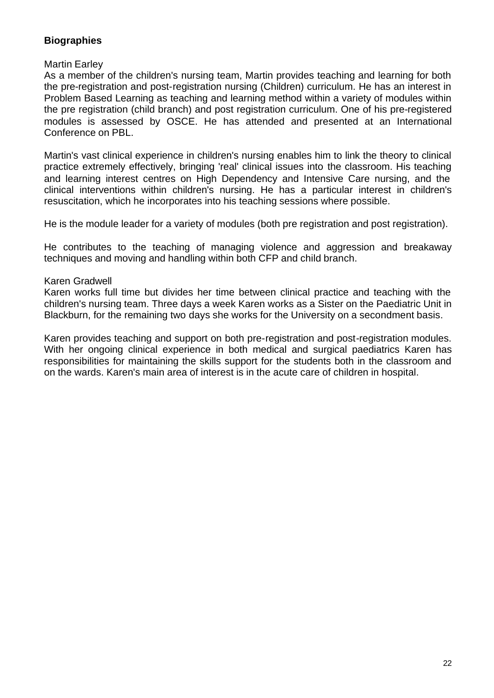# **Biographies**

#### Martin Earley

As a member of the children's nursing team, Martin provides teaching and learning for both the pre-registration and post-registration nursing (Children) curriculum. He has an interest in Problem Based Learning as teaching and learning method within a variety of modules within the pre registration (child branch) and post registration curriculum. One of his pre-registered modules is assessed by OSCE. He has attended and presented at an International Conference on PBL.

Martin's vast clinical experience in children's nursing enables him to link the theory to clinical practice extremely effectively, bringing 'real' clinical issues into the classroom. His teaching and learning interest centres on High Dependency and Intensive Care nursing, and the clinical interventions within children's nursing. He has a particular interest in children's resuscitation, which he incorporates into his teaching sessions where possible.

He is the module leader for a variety of modules (both pre registration and post registration).

He contributes to the teaching of managing violence and aggression and breakaway techniques and moving and handling within both CFP and child branch.

#### Karen Gradwell

Karen works full time but divides her time between clinical practice and teaching with the children's nursing team. Three days a week Karen works as a Sister on the Paediatric Unit in Blackburn, for the remaining two days she works for the University on a secondment basis.

Karen provides teaching and support on both pre-registration and post-registration modules. With her ongoing clinical experience in both medical and surgical paediatrics Karen has responsibilities for maintaining the skills support for the students both in the classroom and on the wards. Karen's main area of interest is in the acute care of children in hospital.